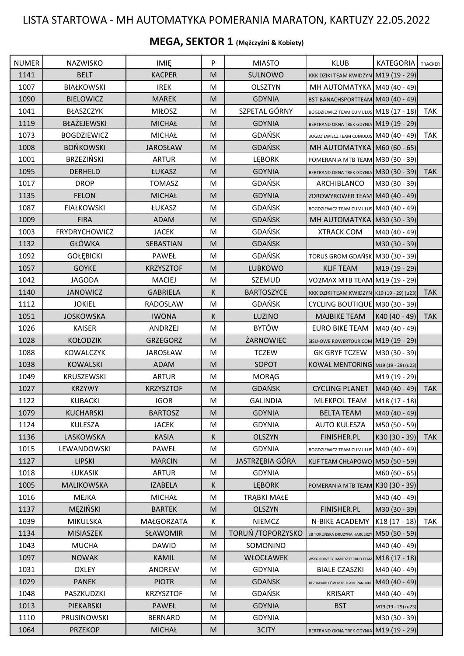## LISTA STARTOWA - MH AUTOMATYKA POMERANIA MARATON, KARTUZY 22.05.2022

## **MEGA, SEKTOR 1 (Mężczyźni & Kobiety)**

| <b>NUMER</b> | NAZWISKO             | <b>IMIE</b>      | P                                                                                                          | <b>MIASTO</b>      | <b>KLUB</b>                                | <b>KATEGORIA</b>    | TRACKER    |
|--------------|----------------------|------------------|------------------------------------------------------------------------------------------------------------|--------------------|--------------------------------------------|---------------------|------------|
| 1141         | <b>BELT</b>          | <b>KACPER</b>    | M                                                                                                          | SULNOWO            | KKK DZIKI TEAM KWIDZYN M19 (19 - 29)       |                     |            |
| 1007         | <b>BIAŁKOWSKI</b>    | <b>IREK</b>      | M                                                                                                          | <b>OLSZTYN</b>     | MH AUTOMATYKA M40 (40 - 49)                |                     |            |
| 1090         | <b>BIELOWICZ</b>     | <b>MAREK</b>     | M                                                                                                          | <b>GDYNIA</b>      | BST-BANACHSPORTTEAM M40 (40 - 49)          |                     |            |
| 1041         | BŁASZCZYK            | <b>MIŁOSZ</b>    | M                                                                                                          | SZPETAL GÓRNY      | BOGDZIEWICZ TEAM CUMULUS M18 (17 - 18)     |                     | <b>TAK</b> |
| 1119         | BŁAŻEJEWSKI          | <b>MICHAŁ</b>    | M                                                                                                          | <b>GDYNIA</b>      | BERTRAND OKNA TREK GDYNIA M19 (19 - 29)    |                     |            |
| 1073         | <b>BOGDZIEWICZ</b>   | <b>MICHAŁ</b>    | M                                                                                                          | GDAŃSK             | BOGDZIEWIECZ TEAM CUMULUS M40 (40 - 49)    |                     | <b>TAK</b> |
| 1008         | <b>BOŃKOWSKI</b>     | <b>JAROSŁAW</b>  | M                                                                                                          | <b>GDAŃSK</b>      | MH AUTOMATYKA M60 (60 - 65)                |                     |            |
| 1001         | <b>BRZEZIŃSKI</b>    | <b>ARTUR</b>     | M                                                                                                          | <b>LEBORK</b>      | POMERANIA MTB TEAM M30 (30 - 39)           |                     |            |
| 1095         | DERHELD              | ŁUKASZ           | M                                                                                                          | <b>GDYNIA</b>      | BERTRAND OKNA TREK GDYNIA M30 (30 - 39)    |                     | <b>TAK</b> |
| 1017         | <b>DROP</b>          | <b>TOMASZ</b>    | M                                                                                                          | GDAŃSK             | ARCHIBLANCO                                | M30 (30 - 39)       |            |
| 1135         | <b>FELON</b>         | <b>MICHAŁ</b>    | M                                                                                                          | <b>GDYNIA</b>      | ZDROWYROWER TEAM M40 (40 - 49)             |                     |            |
| 1087         | <b>FIAŁKOWSKI</b>    | ŁUKASZ           | M                                                                                                          | <b>GDAŃSK</b>      | BOGDZIEWICZ TEAM CUMULUS M40 (40 - 49)     |                     |            |
| 1009         | <b>FIRA</b>          | ADAM             | M                                                                                                          | <b>GDAŃSK</b>      | MH AUTOMATYKA M30 (30 - 39)                |                     |            |
| 1003         | <b>FRYDRYCHOWICZ</b> | <b>JACEK</b>     | M                                                                                                          | GDAŃSK             | XTRACK.COM                                 | M40 (40 - 49)       |            |
| 1132         | GŁÓWKA               | SEBASTIAN        | M                                                                                                          | <b>GDAŃSK</b>      |                                            | M30 (30 - 39)       |            |
| 1092         | <b>GOŁĘBICKI</b>     | PAWEŁ            | M                                                                                                          | GDAŃSK             | TORUS GROM GDAŃSK M30 (30 - 39)            |                     |            |
| 1057         | <b>GOYKE</b>         | <b>KRZYSZTOF</b> | M                                                                                                          | LUBKOWO            | <b>KLIF TEAM</b>                           | M19 (19 - 29)       |            |
| 1042         | <b>JAGODA</b>        | <b>MACIEJ</b>    | M                                                                                                          | SZEMUD             | VO2MAX MTB TEAM M19 (19 - 29)              |                     |            |
| 1140         | <b>JANOWICZ</b>      | <b>GABRIELA</b>  | K.                                                                                                         | <b>BARTOSZYCE</b>  | KKK DZIKI TEAM KWIDZYN K19 (19 - 29) (u23) |                     | <b>TAK</b> |
| 1112         | <b>JOKIEL</b>        | RADOSLAW         | M                                                                                                          | GDAŃSK             | CYCLING BOUTIQUE M30 (30 - 39)             |                     |            |
| 1051         | <b>JOSKOWSKA</b>     | <b>IWONA</b>     | K                                                                                                          | LUZINO             | <b>MAJBIKE TEAM</b>                        | K40 (40 - 49)       | <b>TAK</b> |
| 1026         | <b>KAISER</b>        | ANDRZEJ          | M                                                                                                          | <b>BYTÓW</b>       | <b>EURO BIKE TEAM</b>                      | M40 (40 - 49)       |            |
| 1028         | <b>KOŁODZIK</b>      | <b>GRZEGORZ</b>  | M                                                                                                          | ŻARNOWIEC          | SISU-OWB ROWERTOUR.COM M19 (19 - 29)       |                     |            |
| 1088         | <b>KOWALCZYK</b>     | <b>JAROSŁAW</b>  | M                                                                                                          | <b>TCZEW</b>       | <b>GK GRYF TCZEW</b>                       | M30 (30 - 39)       |            |
| 1038         | <b>KOWALSKI</b>      | ADAM             | M                                                                                                          | SOPOT              | KOWAL MENTORING M19 (19 - 29) (u23)        |                     |            |
| 1049         | KRUSZEWSKI           | <b>ARTUR</b>     | M                                                                                                          | <b>MORĄG</b>       |                                            | M19 (19 - 29)       |            |
| 1027         | <b>KRZYWY</b>        | <b>KRZYSZTOF</b> | M                                                                                                          | <b>GDAŃSK</b>      | <b>CYCLING PLANET</b>                      | M40 (40 - 49)       | <b>TAK</b> |
| 1122         | KUBACKI              | <b>IGOR</b>      | M                                                                                                          | <b>GALINDIA</b>    | MLEKPOL TEAM                               | M18 (17 - 18)       |            |
| 1079         | KUCHARSKI            | <b>BARTOSZ</b>   | M                                                                                                          | <b>GDYNIA</b>      | <b>BELTA TEAM</b>                          | M40 (40 - 49)       |            |
| 1124         | <b>KULESZA</b>       | <b>JACEK</b>     | М                                                                                                          | <b>GDYNIA</b>      | <b>AUTO KULESZA</b>                        | M50 (50 - 59)       |            |
| 1136         | LASKOWSKA            | <b>KASIA</b>     | K.                                                                                                         | <b>OLSZYN</b>      | <b>FINISHER.PL</b>                         | $K30(30 - 39)$      | <b>TAK</b> |
| 1015         | LEWANDOWSKI          | PAWEŁ            | M                                                                                                          | <b>GDYNIA</b>      | <b>BOGDZIEWICZ TEAM CUMULUS</b>            | M40 (40 - 49)       |            |
| 1127         | <b>LIPSKI</b>        | <b>MARCIN</b>    | $\mathsf{M}% _{T}=\mathsf{M}_{T}\!\left( a,b\right) ,\ \mathsf{M}_{T}=\mathsf{M}_{T}\!\left( a,b\right) ,$ | JASTRZĘBIA GÓRA    | KLIF TEAM CHŁAPOWO M50 (50 - 59)           |                     |            |
| 1018         | ŁUKASIK              | <b>ARTUR</b>     | М                                                                                                          | <b>GDYNIA</b>      |                                            | M60 (60 - 65)       |            |
| 1005         | MALIKOWSKA           | <b>IZABELA</b>   | K.                                                                                                         | <b>LEBORK</b>      | POMERANIA MTB TEAM K30 (30 - 39)           |                     |            |
| 1016         | <b>MEJKA</b>         | <b>MICHAŁ</b>    | М                                                                                                          | <b>TRĄBKI MAŁE</b> |                                            | M40 (40 - 49)       |            |
| 1137         | MEZIŃSKI             | <b>BARTEK</b>    | M                                                                                                          | <b>OLSZYN</b>      | <b>FINISHER.PL</b>                         | M30 (30 - 39)       |            |
| 1039         | <b>MIKULSKA</b>      | MAŁGORZATA       | K                                                                                                          | <b>NIEMCZ</b>      | N-BIKE ACADEMY                             | K18 (17 - 18)       | TAK        |
| 1134         | <b>MISIASZEK</b>     | SŁAWOMIR         | M                                                                                                          | TORUŃ / TOPORZYSKO | 28 TORUŃSKA DRUŻYNA HARCERZY               | M50 (50 - 59)       |            |
| 1043         | <b>MUCHA</b>         | <b>DAWID</b>     | M                                                                                                          | SOMONINO           |                                            | M40 (40 - 49)       |            |
| 1097         | <b>NOWAK</b>         | <b>KAMIL</b>     | M                                                                                                          | WŁOCŁAWEK          | WSKG ROWERY JAMRÓZ TERBUD TEAN             | M18 (17 - 18)       |            |
| 1031         | <b>OXLEY</b>         | ANDREW           | M                                                                                                          | <b>GDYNIA</b>      | <b>BIALE CZASZKI</b>                       | M40 (40 - 49)       |            |
| 1029         | <b>PANEK</b>         | <b>PIOTR</b>     | M                                                                                                          | <b>GDANSK</b>      | BEZ HAMULCÓW MTB TEAM PAN-BIKE             | M40 (40 - 49)       |            |
| 1048         | PASZKUDZKI           | <b>KRZYSZTOF</b> | М                                                                                                          | <b>GDAŃSK</b>      | <b>KRISART</b>                             | M40 (40 - 49)       |            |
| 1013         | PIEKARSKI            | PAWEŁ            | M                                                                                                          | <b>GDYNIA</b>      | <b>BST</b>                                 | M19 (19 - 29) (u23) |            |
| 1110         | PRUSINOWSKI          | <b>BERNARD</b>   | М                                                                                                          | <b>GDYNIA</b>      |                                            | M30 (30 - 39)       |            |
| 1064         | <b>PRZEKOP</b>       | <b>MICHAŁ</b>    | M                                                                                                          | 3CITY              | BERTRAND OKNA TREK GDYNIA M19 (19 - 29)    |                     |            |